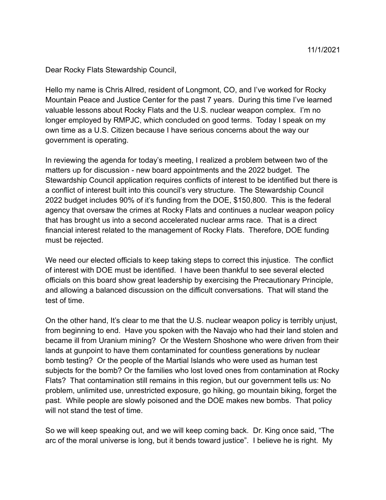Dear Rocky Flats Stewardship Council,

Hello my name is Chris Allred, resident of Longmont, CO, and I've worked for Rocky Mountain Peace and Justice Center for the past 7 years. During this time I've learned valuable lessons about Rocky Flats and the U.S. nuclear weapon complex. I'm no longer employed by RMPJC, which concluded on good terms. Today I speak on my own time as a U.S. Citizen because I have serious concerns about the way our government is operating.

In reviewing the agenda for today's meeting, I realized a problem between two of the matters up for discussion - new board appointments and the 2022 budget. The Stewardship Council application requires conflicts of interest to be identified but there is a conflict of interest built into this council's very structure. The Stewardship Council 2022 budget includes 90% of it's funding from the DOE, \$150,800. This is the federal agency that oversaw the crimes at Rocky Flats and continues a nuclear weapon policy that has brought us into a second accelerated nuclear arms race. That is a direct financial interest related to the management of Rocky Flats. Therefore, DOE funding must be rejected.

We need our elected officials to keep taking steps to correct this injustice. The conflict of interest with DOE must be identified. I have been thankful to see several elected officials on this board show great leadership by exercising the Precautionary Principle, and allowing a balanced discussion on the difficult conversations. That will stand the test of time.

On the other hand, It's clear to me that the U.S. nuclear weapon policy is terribly unjust, from beginning to end. Have you spoken with the Navajo who had their land stolen and became ill from Uranium mining? Or the Western Shoshone who were driven from their lands at gunpoint to have them contaminated for countless generations by nuclear bomb testing? Or the people of the Martial Islands who were used as human test subjects for the bomb? Or the families who lost loved ones from contamination at Rocky Flats? That contamination still remains in this region, but our government tells us: No problem, unlimited use, unrestricted exposure, go hiking, go mountain biking, forget the past. While people are slowly poisoned and the DOE makes new bombs. That policy will not stand the test of time.

So we will keep speaking out, and we will keep coming back. Dr. King once said, "The arc of the moral universe is long, but it bends toward justice". I believe he is right. My